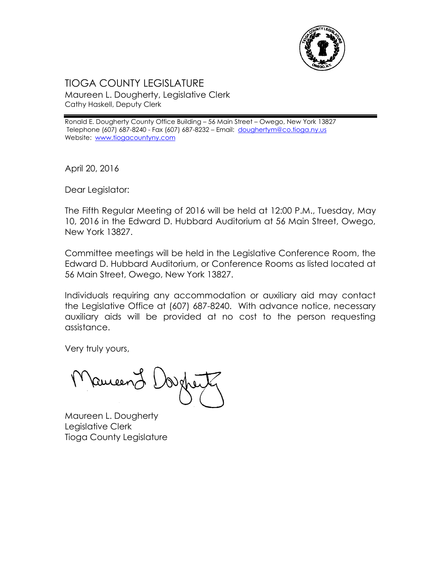

## TIOGA COUNTY LEGISLATURE Maureen L. Dougherty, Legislative Clerk Cathy Haskell, Deputy Clerk

Ronald E. Dougherty County Office Building – 56 Main Street – Owego, New York 13827 Telephone (607) 687-8240 - Fax (607) 687-8232 – Email: [doughertym@co.tioga.ny.us](mailto:doughertym@co.tioga.ny.us) Website: [www.tiogacountyny.com](http://www.tiogacountyny.com/)

April 20, 2016

Dear Legislator:

The Fifth Regular Meeting of 2016 will be held at 12:00 P.M., Tuesday, May 10, 2016 in the Edward D. Hubbard Auditorium at 56 Main Street, Owego, New York 13827.

Committee meetings will be held in the Legislative Conference Room, the Edward D. Hubbard Auditorium, or Conference Rooms as listed located at 56 Main Street, Owego, New York 13827.

Individuals requiring any accommodation or auxiliary aid may contact the Legislative Office at (607) 687-8240. With advance notice, necessary auxiliary aids will be provided at no cost to the person requesting assistance.

Very truly yours,

Ruceer

Maureen L. Dougherty Legislative Clerk Tioga County Legislature